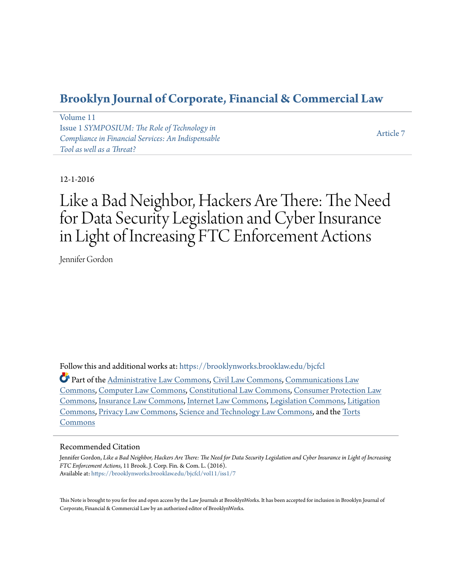# **[Brooklyn Journal of Corporate, Financial & Commercial Law](https://brooklynworks.brooklaw.edu/bjcfcl?utm_source=brooklynworks.brooklaw.edu%2Fbjcfcl%2Fvol11%2Fiss1%2F7&utm_medium=PDF&utm_campaign=PDFCoverPages)**

[Volume 11](https://brooklynworks.brooklaw.edu/bjcfcl/vol11?utm_source=brooklynworks.brooklaw.edu%2Fbjcfcl%2Fvol11%2Fiss1%2F7&utm_medium=PDF&utm_campaign=PDFCoverPages) Issue 1 *[SYMPOSIUM: The Role of Technology in](https://brooklynworks.brooklaw.edu/bjcfcl/vol11/iss1?utm_source=brooklynworks.brooklaw.edu%2Fbjcfcl%2Fvol11%2Fiss1%2F7&utm_medium=PDF&utm_campaign=PDFCoverPages) [Compliance in Financial Services: An Indispensable](https://brooklynworks.brooklaw.edu/bjcfcl/vol11/iss1?utm_source=brooklynworks.brooklaw.edu%2Fbjcfcl%2Fvol11%2Fiss1%2F7&utm_medium=PDF&utm_campaign=PDFCoverPages) [Tool as well as a Threat?](https://brooklynworks.brooklaw.edu/bjcfcl/vol11/iss1?utm_source=brooklynworks.brooklaw.edu%2Fbjcfcl%2Fvol11%2Fiss1%2F7&utm_medium=PDF&utm_campaign=PDFCoverPages)*

[Article 7](https://brooklynworks.brooklaw.edu/bjcfcl/vol11/iss1/7?utm_source=brooklynworks.brooklaw.edu%2Fbjcfcl%2Fvol11%2Fiss1%2F7&utm_medium=PDF&utm_campaign=PDFCoverPages)

# 12-1-2016

# Like a Bad Neighbor, Hackers Are There: The Need for Data Security Legislation and Cyber Insurance in Light of Increasing FTC Enforcement Actions

Jennifer Gordon

Follow this and additional works at: [https://brooklynworks.brooklaw.edu/bjcfcl](https://brooklynworks.brooklaw.edu/bjcfcl?utm_source=brooklynworks.brooklaw.edu%2Fbjcfcl%2Fvol11%2Fiss1%2F7&utm_medium=PDF&utm_campaign=PDFCoverPages)

Part of the [Administrative Law Commons,](http://network.bepress.com/hgg/discipline/579?utm_source=brooklynworks.brooklaw.edu%2Fbjcfcl%2Fvol11%2Fiss1%2F7&utm_medium=PDF&utm_campaign=PDFCoverPages) [Civil Law Commons,](http://network.bepress.com/hgg/discipline/835?utm_source=brooklynworks.brooklaw.edu%2Fbjcfcl%2Fvol11%2Fiss1%2F7&utm_medium=PDF&utm_campaign=PDFCoverPages) [Communications Law](http://network.bepress.com/hgg/discipline/587?utm_source=brooklynworks.brooklaw.edu%2Fbjcfcl%2Fvol11%2Fiss1%2F7&utm_medium=PDF&utm_campaign=PDFCoverPages) [Commons,](http://network.bepress.com/hgg/discipline/587?utm_source=brooklynworks.brooklaw.edu%2Fbjcfcl%2Fvol11%2Fiss1%2F7&utm_medium=PDF&utm_campaign=PDFCoverPages) [Computer Law Commons,](http://network.bepress.com/hgg/discipline/837?utm_source=brooklynworks.brooklaw.edu%2Fbjcfcl%2Fvol11%2Fiss1%2F7&utm_medium=PDF&utm_campaign=PDFCoverPages) [Constitutional Law Commons](http://network.bepress.com/hgg/discipline/589?utm_source=brooklynworks.brooklaw.edu%2Fbjcfcl%2Fvol11%2Fiss1%2F7&utm_medium=PDF&utm_campaign=PDFCoverPages), [Consumer Protection Law](http://network.bepress.com/hgg/discipline/838?utm_source=brooklynworks.brooklaw.edu%2Fbjcfcl%2Fvol11%2Fiss1%2F7&utm_medium=PDF&utm_campaign=PDFCoverPages) [Commons,](http://network.bepress.com/hgg/discipline/838?utm_source=brooklynworks.brooklaw.edu%2Fbjcfcl%2Fvol11%2Fiss1%2F7&utm_medium=PDF&utm_campaign=PDFCoverPages) [Insurance Law Commons,](http://network.bepress.com/hgg/discipline/607?utm_source=brooklynworks.brooklaw.edu%2Fbjcfcl%2Fvol11%2Fiss1%2F7&utm_medium=PDF&utm_campaign=PDFCoverPages) [Internet Law Commons](http://network.bepress.com/hgg/discipline/892?utm_source=brooklynworks.brooklaw.edu%2Fbjcfcl%2Fvol11%2Fiss1%2F7&utm_medium=PDF&utm_campaign=PDFCoverPages), [Legislation Commons](http://network.bepress.com/hgg/discipline/859?utm_source=brooklynworks.brooklaw.edu%2Fbjcfcl%2Fvol11%2Fiss1%2F7&utm_medium=PDF&utm_campaign=PDFCoverPages), [Litigation](http://network.bepress.com/hgg/discipline/910?utm_source=brooklynworks.brooklaw.edu%2Fbjcfcl%2Fvol11%2Fiss1%2F7&utm_medium=PDF&utm_campaign=PDFCoverPages) [Commons,](http://network.bepress.com/hgg/discipline/910?utm_source=brooklynworks.brooklaw.edu%2Fbjcfcl%2Fvol11%2Fiss1%2F7&utm_medium=PDF&utm_campaign=PDFCoverPages) [Privacy Law Commons](http://network.bepress.com/hgg/discipline/1234?utm_source=brooklynworks.brooklaw.edu%2Fbjcfcl%2Fvol11%2Fiss1%2F7&utm_medium=PDF&utm_campaign=PDFCoverPages), [Science and Technology Law Commons](http://network.bepress.com/hgg/discipline/875?utm_source=brooklynworks.brooklaw.edu%2Fbjcfcl%2Fvol11%2Fiss1%2F7&utm_medium=PDF&utm_campaign=PDFCoverPages), and the [Torts](http://network.bepress.com/hgg/discipline/913?utm_source=brooklynworks.brooklaw.edu%2Fbjcfcl%2Fvol11%2Fiss1%2F7&utm_medium=PDF&utm_campaign=PDFCoverPages) [Commons](http://network.bepress.com/hgg/discipline/913?utm_source=brooklynworks.brooklaw.edu%2Fbjcfcl%2Fvol11%2Fiss1%2F7&utm_medium=PDF&utm_campaign=PDFCoverPages)

# Recommended Citation

Jennifer Gordon, *Like a Bad Neighbor, Hackers Are There: The Need for Data Security Legislation and Cyber Insurance in Light of Increasing FTC Enforcement Actions*, 11 Brook. J. Corp. Fin. & Com. L. (2016). Available at: [https://brooklynworks.brooklaw.edu/bjcfcl/vol11/iss1/7](https://brooklynworks.brooklaw.edu/bjcfcl/vol11/iss1/7?utm_source=brooklynworks.brooklaw.edu%2Fbjcfcl%2Fvol11%2Fiss1%2F7&utm_medium=PDF&utm_campaign=PDFCoverPages)

This Note is brought to you for free and open access by the Law Journals at BrooklynWorks. It has been accepted for inclusion in Brooklyn Journal of Corporate, Financial & Commercial Law by an authorized editor of BrooklynWorks.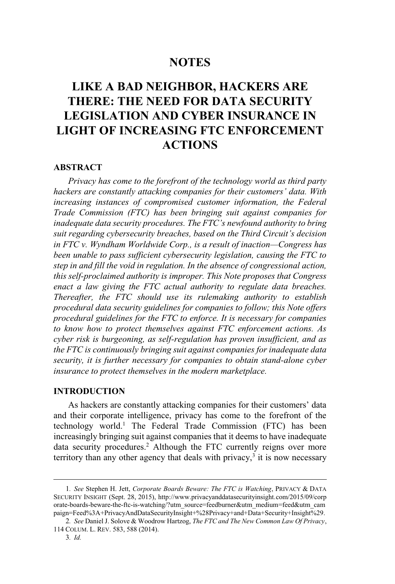# **NOTES**

# **LIKE A BAD NEIGHBOR, HACKERS ARE THERE: THE NEED FOR DATA SECURITY LEGISLATION AND CYBER INSURANCE IN LIGHT OF INCREASING FTC ENFORCEMENT ACTIONS**

### **ABSTRACT**

*Privacy has come to the forefront of the technology world as third party hackers are constantly attacking companies for their customers' data. With increasing instances of compromised customer information, the Federal Trade Commission (FTC) has been bringing suit against companies for inadequate data security procedures. The FTC's newfound authority to bring suit regarding cybersecurity breaches, based on the Third Circuit's decision in FTC v. Wyndham Worldwide Corp., is a result of inaction—Congress has been unable to pass sufficient cybersecurity legislation, causing the FTC to step in and fill the void in regulation. In the absence of congressional action, this self-proclaimed authority is improper. This Note proposes that Congress enact a law giving the FTC actual authority to regulate data breaches. Thereafter, the FTC should use its rulemaking authority to establish procedural data security guidelines for companies to follow; this Note offers procedural guidelines for the FTC to enforce. It is necessary for companies to know how to protect themselves against FTC enforcement actions. As cyber risk is burgeoning, as self-regulation has proven insufficient, and as the FTC is continuously bringing suit against companies for inadequate data security, it is further necessary for companies to obtain stand-alone cyber insurance to protect themselves in the modern marketplace.*

#### **INTRODUCTION**

As hackers are constantly attacking companies for their customers' data and their corporate intelligence, privacy has come to the forefront of the technology world.<sup>1</sup> The Federal Trade Commission (FTC) has been increasingly bringing suit against companies that it deems to have inadequate data security procedures.<sup>2</sup> Although the FTC currently reigns over more territory than any other agency that deals with privacy,  $\frac{3}{3}$  it is now necessary

<sup>1</sup>*. See* Stephen H. Jett, *Corporate Boards Beware: The FTC is Watching*, PRIVACY & DATA SECURITY INSIGHT (Sept. 28, 2015), http://www.privacyanddatasecurityinsight.com/2015/09/corp orate-boards-beware-the-ftc-is-watching/?utm\_source=feedburner&utm\_medium=feed&utm\_cam paign=Feed%3A+PrivacyAndDataSecurityInsight+%28Privacy+and+Data+Security+Insight%29.

<sup>2</sup>*. See* Daniel J. Solove & Woodrow Hartzog, *The FTC and The New Common Law Of Privacy*, 114 COLUM. L. REV. 583, 588 (2014).

<sup>3</sup>*. Id.*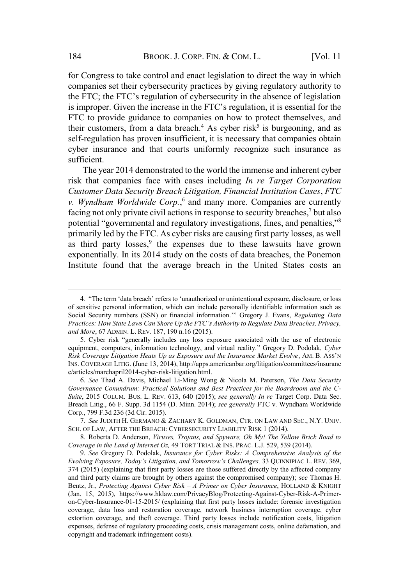for Congress to take control and enact legislation to direct the way in which companies set their cybersecurity practices by giving regulatory authority to the FTC; the FTC's regulation of cybersecurity in the absence of legislation is improper. Given the increase in the FTC's regulation, it is essential for the FTC to provide guidance to companies on how to protect themselves, and their customers, from a data breach.<sup>4</sup> As cyber risk<sup>5</sup> is burgeoning, and as self-regulation has proven insufficient, it is necessary that companies obtain cyber insurance and that courts uniformly recognize such insurance as sufficient.

The year 2014 demonstrated to the world the immense and inherent cyber risk that companies face with cases including *In re Target Corporation Customer Data Security Breach Litigation, Financial Institution Cases*, *FTC v. Wyndham Worldwide Corp.*, 6 and many more. Companies are currently facing not only private civil actions in response to security breaches,<sup>7</sup> but also potential "governmental and regulatory investigations, fines, and penalties,"<sup>8</sup> primarily led by the FTC. As cyber risks are causing first party losses, as well as third party losses.<sup>9</sup> the expenses due to these lawsuits have grown exponentially. In its 2014 study on the costs of data breaches, the Ponemon Institute found that the average breach in the United States costs an

7*. See* JUDITH H. GERMANO & ZACHARY K. GOLDMAN, CTR. ON LAW AND SEC., N.Y. UNIV. SCH. OF LAW, AFTER THE BREACH: CYBERSECURITY LIABILITY RISK 1 (2014).

8. Roberta D. Anderson, *Viruses, Trojans, and Spyware, Oh My! The Yellow Brick Road to Coverage in the Land of Internet Oz,* 49 TORT TRIAL & INS. PRAC. L.J. 529, 539 (2014).

<sup>4</sup>. "The term 'data breach' refers to 'unauthorized or unintentional exposure, disclosure, or loss of sensitive personal information, which can include personally identifiable information such as Social Security numbers (SSN) or financial information.'" Gregory J. Evans, *Regulating Data Practices: How State Laws Can Shore Up the FTC's Authority to Regulate Data Breaches, Privacy, and More*, 67 ADMIN. L. REV. 187, 190 n.16 (2015).

<sup>5</sup>. Cyber risk "generally includes any loss exposure associated with the use of electronic equipment, computers, information technology, and virtual reality." Gregory D. Podolak, *Cyber Risk Coverage Litigation Heats Up as Exposure and the Insurance Market Evolve*, AM. B. ASS'<sup>N</sup> INS. COVERAGE LITIG. (June 13, 2014), http://apps.americanbar.org/litigation/committees/insuranc e/articles/marchapril2014-cyber-risk-litigation.html.

<sup>6</sup>*. See* Thad A. Davis, Michael Li-Ming Wong & Nicola M. Paterson, *The Data Security Governance Conundrum: Practical Solutions and Best Practices for the Boardroom and the C-Suite*, 2015 COLUM. BUS. L. REV. 613, 640 (2015); *see generally In re* Target Corp. Data Sec. Breach Litig., 66 F. Supp. 3d 1154 (D. Minn. 2014); *see generally* FTC v. Wyndham Worldwide Corp., 799 F.3d 236 (3d Cir. 2015).

<sup>9</sup>*. See* Gregory D. Podolak, *Insurance for Cyber Risks: A Comprehensive Analysis of the Evolving Exposure, Today's Litigation, and Tomorrow's Challenges,* 33 QUINNIPIAC L. REV. 369, 374 (2015) (explaining that first party losses are those suffered directly by the affected company and third party claims are brought by others against the compromised company); *see* Thomas H. Bentz, Jr., *Protecting Against Cyber Risk – A Primer on Cyber Insurance*, HOLLAND & KNIGHT (Jan. 15, 2015), https://www.hklaw.com/PrivacyBlog/Protecting-Against-Cyber-Risk-A-Primeron-Cyber-Insurance-01-15-2015/ (explaining that first party losses include: forensic investigation coverage, data loss and restoration coverage, network business interruption coverage, cyber extortion coverage, and theft coverage. Third party losses include notification costs, litigation expenses, defense of regulatory proceeding costs, crisis management costs, online defamation, and copyright and trademark infringement costs).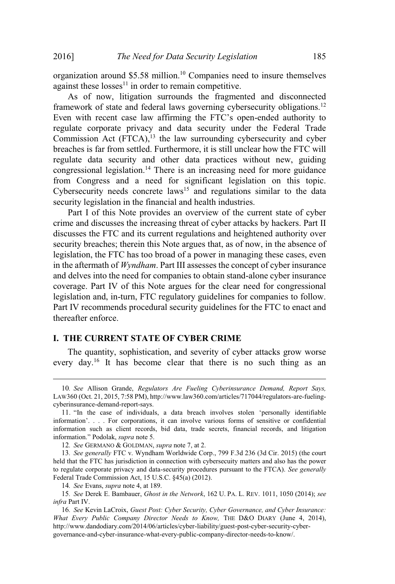organization around \$5.58 million.<sup>10</sup> Companies need to insure themselves against these  $losses<sup>11</sup>$  in order to remain competitive.

As of now, litigation surrounds the fragmented and disconnected framework of state and federal laws governing cybersecurity obligations.<sup>12</sup> Even with recent case law affirming the FTC's open-ended authority to regulate corporate privacy and data security under the Federal Trade Commission Act  $(FTCA)$ ,<sup>13</sup> the law surrounding cybersecurity and cyber breaches is far from settled. Furthermore, it is still unclear how the FTC will regulate data security and other data practices without new, guiding congressional legislation.<sup>14</sup> There is an increasing need for more guidance from Congress and a need for significant legislation on this topic. Cybersecurity needs concrete  $laws<sup>15</sup>$  and regulations similar to the data security legislation in the financial and health industries.

Part I of this Note provides an overview of the current state of cyber crime and discusses the increasing threat of cyber attacks by hackers. Part II discusses the FTC and its current regulations and heightened authority over security breaches; therein this Note argues that, as of now, in the absence of legislation, the FTC has too broad of a power in managing these cases, even in the aftermath of *Wyndham*. Part III assesses the concept of cyber insurance and delves into the need for companies to obtain stand-alone cyber insurance coverage. Part IV of this Note argues for the clear need for congressional legislation and, in-turn, FTC regulatory guidelines for companies to follow. Part IV recommends procedural security guidelines for the FTC to enact and thereafter enforce.

# **I. THE CURRENT STATE OF CYBER CRIME**

The quantity, sophistication, and severity of cyber attacks grow worse every day.<sup>16</sup> It has become clear that there is no such thing as an

<sup>10</sup>*. See* Allison Grande, *Regulators Are Fueling Cyberinsurance Demand, Report Says,* LAW360 (Oct. 21, 2015, 7:58 PM), http://www.law360.com/articles/717044/regulators-are-fuelingcyberinsurance-demand-report-says.

<sup>11</sup>. "In the case of individuals, a data breach involves stolen 'personally identifiable information'. . . . For corporations, it can involve various forms of sensitive or confidential information such as client records, bid data, trade secrets, financial records, and litigation information." Podolak, *supra* note 5.

<sup>12</sup>*. See* GERMANO & GOLDMAN, *supra* note 7, at 2.

<sup>13</sup>*. See generally* FTC v. Wyndham Worldwide Corp., 799 F.3d 236 (3d Cir. 2015) (the court held that the FTC has jurisdiction in connection with cybersecuity matters and also has the power to regulate corporate privacy and data-security procedures pursuant to the FTCA). *See generally* Federal Trade Commission Act, 15 U.S.C. §45(a) (2012).

<sup>14</sup>*. See* Evans, *supra* note 4, at 189.

<sup>15</sup>*. See* Derek E. Bambauer, *Ghost in the Network*, 162 U. PA. L. REV. 1011, 1050 (2014); *see infra* Part IV.

<sup>16</sup>*. See* Kevin LaCroix, *Guest Post: Cyber Security, Cyber Governance, and Cyber Insurance: What Every Public Company Director Needs to Know,* THE D&O DIARY (June 4, 2014), http://www.dandodiary.com/2014/06/articles/cyber-liability/guest-post-cyber-security-cybergovernance-and-cyber-insurance-what-every-public-company-director-needs-to-know/.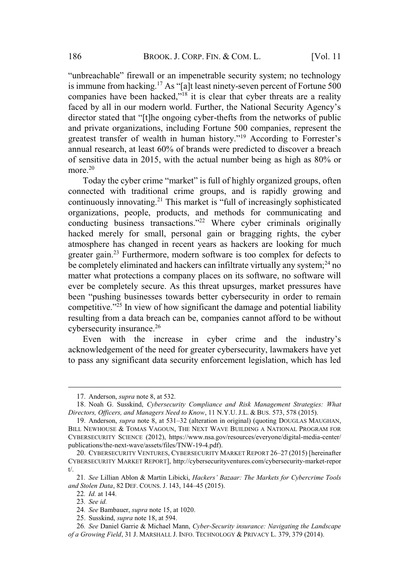"unbreachable" firewall or an impenetrable security system; no technology is immune from hacking.<sup>17</sup> As "[a]t least ninety-seven percent of Fortune 500 companies have been hacked,"<sup>18</sup> it is clear that cyber threats are a reality faced by all in our modern world. Further, the National Security Agency's director stated that "[t]he ongoing cyber-thefts from the networks of public and private organizations, including Fortune 500 companies, represent the greatest transfer of wealth in human history."<sup>19</sup> According to Forrester's annual research, at least 60% of brands were predicted to discover a breach of sensitive data in 2015, with the actual number being as high as 80% or more.<sup>20</sup>

Today the cyber crime "market" is full of highly organized groups, often connected with traditional crime groups, and is rapidly growing and continuously innovating.<sup>21</sup> This market is "full of increasingly sophisticated organizations, people, products, and methods for communicating and conducting business transactions."<sup>22</sup> Where cyber criminals originally hacked merely for small, personal gain or bragging rights, the cyber atmosphere has changed in recent years as hackers are looking for much greater gain.<sup>23</sup> Furthermore, modern software is too complex for defects to be completely eliminated and hackers can infiltrate virtually any system; $^{24}$  no matter what protections a company places on its software, no software will ever be completely secure. As this threat upsurges, market pressures have been "pushing businesses towards better cybersecurity in order to remain competitive."<sup>25</sup> In view of how significant the damage and potential liability resulting from a data breach can be, companies cannot afford to be without cybersecurity insurance.<sup>26</sup>

Even with the increase in cyber crime and the industry's acknowledgement of the need for greater cybersecurity, lawmakers have yet to pass any significant data security enforcement legislation, which has led

<sup>17</sup>. Anderson, *supra* note 8, at 532.

<sup>18</sup>. Noah G. Susskind, *Cybersecurity Compliance and Risk Management Strategies: What Directors, Officers, and Managers Need to Know*, 11 N.Y.U. J.L. & BUS. 573, 578 (2015).

<sup>19</sup>. Anderson, *supra* note 8, at 531–32 (alteration in original) (quoting DOUGLAS MAUGHAN, BILL NEWHOUSE & TOMAS VAGOUN, THE NEXT WAVE BUILDING A NATIONAL PROGRAM FOR CYBERSECURITY SCIENCE (2012), https://www.nsa.gov/resources/everyone/digital-media-center/ publications/the-next-wave/assets/files/TNW-19-4.pdf).

<sup>20</sup>. CYBERSECURITY VENTURES, CYBERSECURITY MARKET REPORT 26–27 (2015) [hereinafter CYBERSECURITY MARKET REPORT], http://cybersecurityventures.com/cybersecurity-market-repor t/.

<sup>21</sup>*. See* Lillian Ablon & Martin Libicki, *Hackers' Bazaar: The Markets for Cybercrime Tools and Stolen Data*, 82 DEF. COUNS. J. 143, 144–45 (2015).

<sup>22</sup>*. Id.* at 144.

<sup>23</sup>*. See id.*

<sup>24</sup>*. See* Bambauer, *supra* note 15, at 1020.

<sup>25</sup>. Susskind, *supra* note 18, at 594.

<sup>26</sup>*. See* Daniel Garrie & Michael Mann, *Cyber-Security insurance: Navigating the Landscape of a Growing Field*, 31 J. MARSHALL J. INFO. TECHNOLOGY & PRIVACY L. 379, 379 (2014).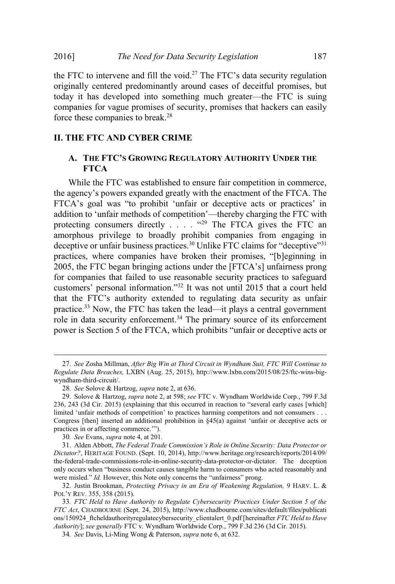the FTC to intervene and fill the void.<sup>27</sup> The FTC's data security regulation originally centered predominantly around cases of deceitful promises, but today it has developed into something much greater—the FTC is suing companies for vague promises of security, promises that hackers can easily force these companies to break.<sup>28</sup>

# **II. THE FTC AND CYBER CRIME**

# **A. THE FTC'S GROWING REGULATORY AUTHORITY UNDER THE FTCA**

While the FTC was established to ensure fair competition in commerce, the agency's powers expanded greatly with the enactment of the FTCA. The FTCA's goal was "to prohibit 'unfair or deceptive acts or practices' in addition to 'unfair methods of competition'—thereby charging the FTC with protecting consumers directly . . . . "29 The FTCA gives the FTC an amorphous privilege to broadly prohibit companies from engaging in deceptive or unfair business practices.<sup>30</sup> Unlike FTC claims for "deceptive"<sup>31</sup> practices, where companies have broken their promises, "[b]eginning in 2005, the FTC began bringing actions under the [FTCA's] unfairness prong for companies that failed to use reasonable security practices to safeguard customers' personal information."<sup>32</sup> It was not until 2015 that a court held that the FTC's authority extended to regulating data security as unfair practice.<sup>33</sup> Now, the FTC has taken the lead—it plays a central government role in data security enforcement.<sup>34</sup> The primary source of its enforcement power is Section 5 of the FTCA, which prohibits "unfair or deceptive acts or

<sup>27</sup>*. See* Zosha Millman, *After Big Win at Third Circuit in Wyndham Suit, FTC Will Continue to Regulate Data Breaches,* LXBN (Aug. 25, 2015), http://www.lxbn.com/2015/08/25/ftc-wins-bigwyndham-third-circuit/.

<sup>28</sup>*. See* Solove & Hartzog, *supra* note 2, at 636.

<sup>29</sup>. Solove & Hartzog, *supra* note 2, at 598; *see* FTC v. Wyndham Worldwide Corp., 799 F.3d 236, 243 (3d Cir. 2015) (explaining that this occurred in reaction to "several early cases [which] limited 'unfair methods of competition' to practices harming competitors and not consumers . . . Congress [then] inserted an additional prohibition in  $\frac{845(a)}{a}$  against 'unfair or deceptive acts or practices in or affecting commerce.'").

<sup>30</sup>*. See* Evans, *supra* note 4, at 201.

<sup>31</sup>. Alden Abbott, *The Federal Trade Commission's Role in Online Security: Data Protector or Dictator?*, HERITAGE FOUND. (Sept. 10, 2014), http://www.heritage.org/research/reports/2014/09/ the-federal-trade-commissions-role-in-online-security-data-protector-or-dictator. The deception only occurs when "business conduct causes tangible harm to consumers who acted reasonably and were misled." *Id.* However, this Note only concerns the "unfairness" prong.

<sup>32</sup>. Justin Brookman, *Protecting Privacy in an Era of Weakening Regulation,* 9 HARV. L. & POL'<sup>Y</sup> REV. 355, 358 (2015).

<sup>33</sup>*. FTC Held to Have Authority to Regulate Cybersecurity Practices Under Section 5 of the FTC Act*, CHADBOURNE (Sept. 24, 2015), http://www.chadbourne.com/sites/default/files/publicati ons/150924\_ftcheldauthorityregulatecybersecurity\_clientalert\_0.pdf [hereinafter *FTC Held to Have Authority*]; *see generally* FTC v. Wyndham Worldwide Corp., 799 F.3d 236 (3d Cir. 2015).

<sup>34</sup>*. See* Davis, Li-Ming Wong & Paterson, *supra* note 6, at 632.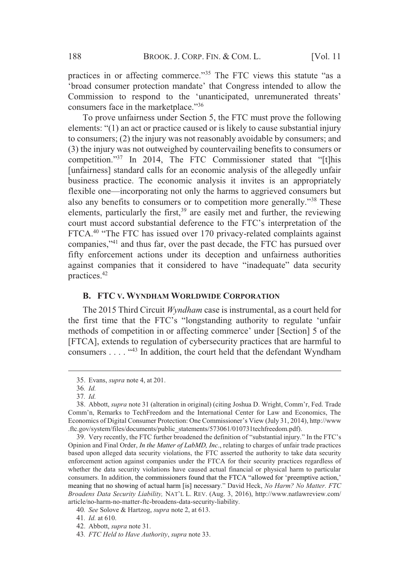practices in or affecting commerce."<sup>35</sup> The FTC views this statute "as a 'broad consumer protection mandate' that Congress intended to allow the Commission to respond to the 'unanticipated, unremunerated threats' consumers face in the marketplace."<sup>36</sup>

To prove unfairness under Section 5, the FTC must prove the following elements: "(1) an act or practice caused or is likely to cause substantial injury to consumers; (2) the injury was not reasonably avoidable by consumers; and (3) the injury was not outweighed by countervailing benefits to consumers or competition."37 In 2014, The FTC Commissioner stated that "[t]his [unfairness] standard calls for an economic analysis of the allegedly unfair business practice. The economic analysis it invites is an appropriately flexible one—incorporating not only the harms to aggrieved consumers but also any benefits to consumers or to competition more generally."<sup>38</sup> These elements, particularly the first,<sup>39</sup> are easily met and further, the reviewing court must accord substantial deference to the FTC's interpretation of the FTCA.<sup>40</sup> "The FTC has issued over 170 privacy-related complaints against companies,"41 and thus far, over the past decade, the FTC has pursued over fifty enforcement actions under its deception and unfairness authorities against companies that it considered to have "inadequate" data security practices.42

# **B. FTC V. WYNDHAM WORLDWIDE CORPORATION**

The 2015 Third Circuit *Wyndham* case is instrumental, as a court held for the first time that the FTC's "longstanding authority to regulate 'unfair methods of competition in or affecting commerce' under [Section] 5 of the [FTCA], extends to regulation of cybersecurity practices that are harmful to consumers  $\dots$   $\cdot$   $\cdot$   $\cdot$   $\cdot$   $\cdot$  In addition, the court held that the defendant Wyndham

<sup>35.</sup> Evans, *supra* note 4, at 201.

<sup>36</sup>*. Id.*

<sup>37</sup>*. Id.*

<sup>38.</sup> Abbott, *supra* note 31 (alteration in original) (citing Joshua D. Wright, Comm'r, Fed. Trade Comm'n, Remarks to TechFreedom and the International Center for Law and Economics, The Economics of Digital Consumer Protection: One Commissioner's View (July 31, 2014), http://www .ftc.gov/system/files/documents/public\_statements/573061/010731techfreedom.pdf).

<sup>39.</sup> Very recently, the FTC further broadened the definition of "substantial injury." In the FTC's Opinion and Final Order, *In the Matter of LabMD, Inc*., relating to charges of unfair trade practices based upon alleged data security violations, the FTC asserted the authority to take data security enforcement action against companies under the FTCA for their security practices regardless of whether the data security violations have caused actual financial or physical harm to particular consumers. In addition, the commissioners found that the FTCA "allowed for 'preemptive action,' meaning that no showing of actual harm [is] necessary." David Heck, *No Harm? No Matter. FTC Broadens Data Security Liability,* NAT'L L. REV. (Aug. 3, 2016), http://www.natlawreview.com/ article/no-harm-no-matter-ftc-broadens-data-security-liability.

<sup>40</sup>*. See* Solove & Hartzog, *supra* note 2, at 613.

<sup>41</sup>*. Id.* at 610.

<sup>42.</sup> Abbott, *supra* note 31.

<sup>43</sup>*. FTC Held to Have Authority*, *supra* note 33.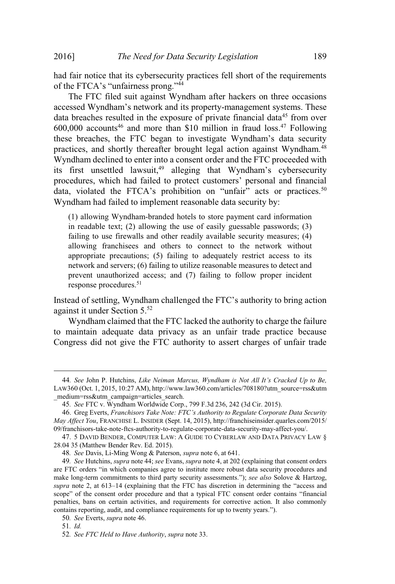had fair notice that its cybersecurity practices fell short of the requirements of the FTCA's "unfairness prong."<sup>44</sup>

The FTC filed suit against Wyndham after hackers on three occasions accessed Wyndham's network and its property-management systems. These data breaches resulted in the exposure of private financial data<sup>45</sup> from over  $600,000$  accounts<sup>46</sup> and more than \$10 million in fraud loss.<sup>47</sup> Following these breaches, the FTC began to investigate Wyndham's data security practices, and shortly thereafter brought legal action against Wyndham.<sup>48</sup> Wyndham declined to enter into a consent order and the FTC proceeded with its first unsettled lawsuit,<sup>49</sup> alleging that Wyndham's cybersecurity procedures, which had failed to protect customers' personal and financial data, violated the FTCA's prohibition on "unfair" acts or practices.<sup>50</sup> Wyndham had failed to implement reasonable data security by:

(1) allowing Wyndham-branded hotels to store payment card information in readable text; (2) allowing the use of easily guessable passwords; (3) failing to use firewalls and other readily available security measures; (4) allowing franchisees and others to connect to the network without appropriate precautions; (5) failing to adequately restrict access to its network and servers; (6) failing to utilize reasonable measures to detect and prevent unauthorized access; and (7) failing to follow proper incident response procedures.<sup>51</sup>

Instead of settling, Wyndham challenged the FTC's authority to bring action against it under Section 5.<sup>52</sup>

Wyndham claimed that the FTC lacked the authority to charge the failure to maintain adequate data privacy as an unfair trade practice because Congress did not give the FTC authority to assert charges of unfair trade

<sup>44</sup>*. See* John P. Hutchins, *Like Neiman Marcus, Wyndham is Not All It's Cracked Up to Be,* LAW360 (Oct. 1, 2015, 10:27 AM), http://www.law360.com/articles/708180?utm\_source=rss&utm \_medium=rss&utm\_campaign=articles\_search.

<sup>45</sup>*. See* FTC v. Wyndham Worldwide Corp., 799 F.3d 236, 242 (3d Cir. 2015).

<sup>46</sup>. Greg Everts, *Franchisors Take Note: FTC's Authority to Regulate Corporate Data Security May Affect You*, FRANCHISE L. INSIDER (Sept. 14, 2015), http://franchiseinsider.quarles.com/2015/ 09/franchisors-take-note-ftcs-authority-to-regulate-corporate-data-security-may-affect-you/.

<sup>47</sup>. 5 DAVID BENDER, COMPUTER LAW: A GUIDE TO CYBERLAW AND DATA PRIVACY LAW § 28.04 35 (Matthew Bender Rev. Ed. 2015).

<sup>48</sup>*. See* Davis, Li-Ming Wong & Paterson, *supra* note 6, at 641.

<sup>49</sup>*. See* Hutchins, *supra* note 44; *see* Evans, *supra* note 4, at 202 (explaining that consent orders are FTC orders "in which companies agree to institute more robust data security procedures and make long-term commitments to third party security assessments."); *see also* Solove & Hartzog, *supra* note 2, at 613–14 (explaining that the FTC has discretion in determining the "access and scope" of the consent order procedure and that a typical FTC consent order contains "financial penalties, bans on certain activities, and requirements for corrective action. It also commonly contains reporting, audit, and compliance requirements for up to twenty years.").

<sup>50</sup>*. See* Everts, *supra* note 46.

<sup>51</sup>*. Id.*

<sup>52</sup>*. See FTC Held to Have Authority*, *supra* note 33.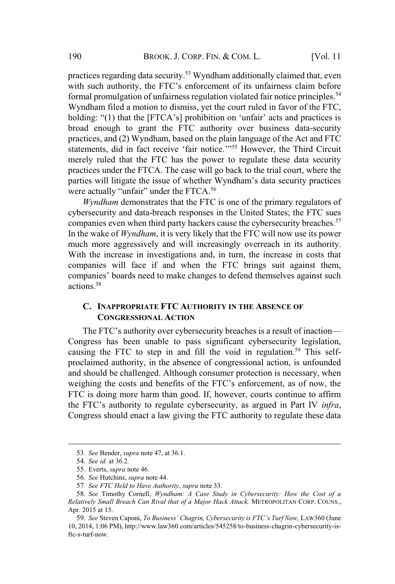practices regarding data security.<sup>53</sup> Wyndham additionally claimed that, even with such authority, the FTC's enforcement of its unfairness claim before formal promulgation of unfairness regulation violated fair notice principles.<sup>54</sup> Wyndham filed a motion to dismiss, yet the court ruled in favor of the FTC, holding: "(1) that the [FTCA's] prohibition on 'unfair' acts and practices is broad enough to grant the FTC authority over business data-security practices, and (2) Wyndham, based on the plain language of the Act and FTC statements, did in fact receive 'fair notice.'"<sup>55</sup> However, the Third Circuit merely ruled that the FTC has the power to regulate these data security practices under the FTCA. The case will go back to the trial court, where the parties will litigate the issue of whether Wyndham's data security practices were actually "unfair" under the FTCA.<sup>56</sup>

*Wyndham* demonstrates that the FTC is one of the primary regulators of cybersecurity and data-breach responses in the United States; the FTC sues companies even when third party hackers cause the cybersecurity breaches.<sup>57</sup> In the wake of *Wyndham*, it is very likely that the FTC will now use its power much more aggressively and will increasingly overreach in its authority. With the increase in investigations and, in turn, the increase in costs that companies will face if and when the FTC brings suit against them, companies' boards need to make changes to defend themselves against such actions<sup>58</sup>

# **C. INAPPROPRIATE FTC AUTHORITY IN THE ABSENCE OF CONGRESSIONAL ACTION**

The FTC's authority over cybersecurity breaches is a result of inaction— Congress has been unable to pass significant cybersecurity legislation, causing the FTC to step in and fill the void in regulation.<sup>59</sup> This selfproclaimed authority, in the absence of congressional action, is unfounded and should be challenged. Although consumer protection is necessary, when weighing the costs and benefits of the FTC's enforcement, as of now, the FTC is doing more harm than good. If, however, courts continue to affirm the FTC's authority to regulate cybersecurity, as argued in Part IV *infra*, Congress should enact a law giving the FTC authority to regulate these data

<sup>53</sup>*. See* Bender, *supra* note 47, at 36.1.

<sup>54</sup>*. See id.* at 36.2*.*

<sup>55</sup>. Everts, *supra* note 46.

<sup>56</sup>*. See* Hutchins, *supra* note 44.

<sup>57</sup>*. See FTC Held to Have Authority*, *supra* note 33.

<sup>58</sup>*. See* Timothy Cornell, *Wyndham: A Case Study in Cybersecurity: How the Cost of a Relatively Small Breach Can Rival that of a Major Hack Attack,* METROPOLITAN CORP. COUNS., Apr. 2015 at 15.

<sup>59</sup>*. See* Steven Caponi, *To Business' Chagrin, Cybersecurity is FTC's Turf Now,* LAW360 (June 10, 2014, 1:06 PM), http://www.law360.com/articles/545258/to-business-chagrin-cybersecurity-isftc-s-turf-now.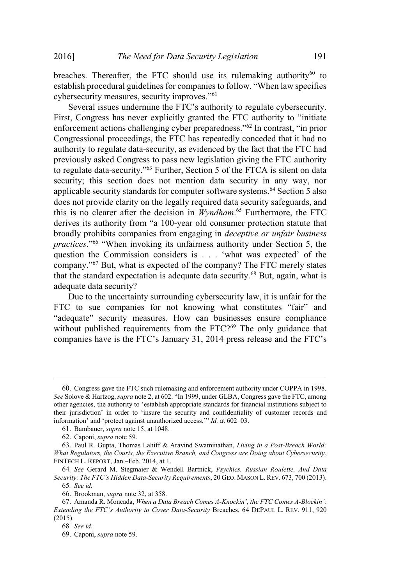breaches. Thereafter, the FTC should use its rulemaking authority<sup>60</sup> to establish procedural guidelines for companies to follow. "When law specifies cybersecurity measures, security improves."<sup>61</sup>

Several issues undermine the FTC's authority to regulate cybersecurity. First, Congress has never explicitly granted the FTC authority to "initiate enforcement actions challenging cyber preparedness."<sup>62</sup> In contrast, "in prior Congressional proceedings, the FTC has repeatedly conceded that it had no authority to regulate data-security, as evidenced by the fact that the FTC had previously asked Congress to pass new legislation giving the FTC authority to regulate data-security."<sup>63</sup> Further, Section 5 of the FTCA is silent on data security; this section does not mention data security in any way, nor applicable security standards for computer software systems.<sup>64</sup> Section 5 also does not provide clarity on the legally required data security safeguards, and this is no clearer after the decision in *Wyndham*. <sup>65</sup> Furthermore, the FTC derives its authority from "a 100-year old consumer protection statute that broadly prohibits companies from engaging in *deceptive or unfair business practices*."<sup>66</sup> "When invoking its unfairness authority under Section 5, the question the Commission considers is . . . 'what was expected' of the company."<sup>67</sup> But, what is expected of the company? The FTC merely states that the standard expectation is adequate data security.<sup>68</sup> But, again, what is adequate data security?

Due to the uncertainty surrounding cybersecurity law, it is unfair for the FTC to sue companies for not knowing what constitutes "fair" and "adequate" security measures. How can businesses ensure compliance without published requirements from the  $FTC<sup>269</sup>$  The only guidance that companies have is the FTC's January 31, 2014 press release and the FTC's

<sup>60</sup>. Congress gave the FTC such rulemaking and enforcement authority under COPPA in 1998. *See* Solove & Hartzog, *supra* note 2, at 602. "In 1999, under GLBA, Congress gave the FTC, among other agencies, the authority to 'establish appropriate standards for financial institutions subject to their jurisdiction' in order to 'insure the security and confidentiality of customer records and information' and 'protect against unauthorized access.'" *Id.* at 602–03.

<sup>61</sup>. Bambauer, *supra* note 15, at 1048.

<sup>62</sup>. Caponi, *supra* note 59.

<sup>63</sup>. Paul R. Gupta, Thomas Lahiff & Aravind Swaminathan, *Living in a Post-Breach World: What Regulators, the Courts, the Executive Branch, and Congress are Doing about Cybersecurity*, FINTECH L. REPORT, Jan.–Feb. 2014, at 1.

<sup>64</sup>*. See* Gerard M. Stegmaier & Wendell Bartnick, *Psychics, Russian Roulette, And Data Security: The FTC's Hidden Data-Security Requirements*, 20 GEO. MASON L. REV. 673, 700 (2013).

<sup>65</sup>*. See id.*

<sup>66</sup>. Brookman, *supra* note 32, at 358.

<sup>67</sup>. Amanda R. Moncada, *When a Data Breach Comes A-Knockin', the FTC Comes A-Blockin': Extending the FTC's Authority to Cover Data-Security* Breaches, 64 DEPAUL L. REV. 911, 920 (2015).

<sup>68</sup>*. See id.*

<sup>69</sup>. Caponi, *supra* note 59.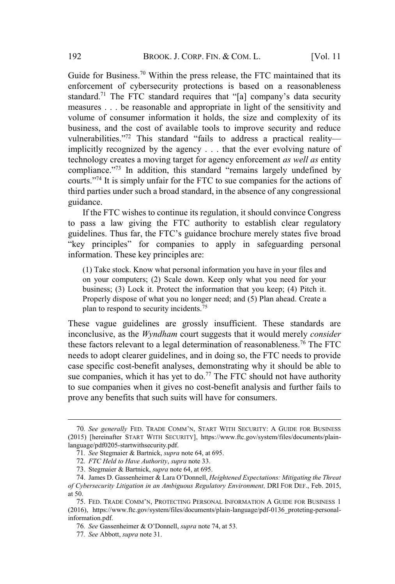Guide for Business.<sup>70</sup> Within the press release, the FTC maintained that its enforcement of cybersecurity protections is based on a reasonableness standard.<sup>71</sup> The FTC standard requires that "[a] company's data security measures . . . be reasonable and appropriate in light of the sensitivity and volume of consumer information it holds, the size and complexity of its business, and the cost of available tools to improve security and reduce vulnerabilities."<sup>72</sup> This standard "fails to address a practical reality implicitly recognized by the agency . . . that the ever evolving nature of technology creates a moving target for agency enforcement *as well as* entity compliance."<sup>73</sup> In addition, this standard "remains largely undefined by courts."<sup>74</sup> It is simply unfair for the FTC to sue companies for the actions of third parties under such a broad standard, in the absence of any congressional guidance.

If the FTC wishes to continue its regulation, it should convince Congress to pass a law giving the FTC authority to establish clear regulatory guidelines. Thus far, the FTC's guidance brochure merely states five broad "key principles" for companies to apply in safeguarding personal information. These key principles are:

(1) Take stock. Know what personal information you have in your files and on your computers; (2) Scale down. Keep only what you need for your business; (3) Lock it. Protect the information that you keep; (4) Pitch it. Properly dispose of what you no longer need; and (5) Plan ahead. Create a plan to respond to security incidents.<sup>75</sup>

These vague guidelines are grossly insufficient. These standards are inconclusive, as the *Wyndham* court suggests that it would merely *consider* these factors relevant to a legal determination of reasonableness.<sup>76</sup> The FTC needs to adopt clearer guidelines, and in doing so, the FTC needs to provide case specific cost-benefit analyses, demonstrating why it should be able to sue companies, which it has yet to do.<sup>77</sup> The FTC should not have authority to sue companies when it gives no cost-benefit analysis and further fails to prove any benefits that such suits will have for consumers.

<sup>70</sup>*. See generally* FED. TRADE COMM'N, START WITH SECURITY: A GUIDE FOR BUSINESS (2015) [hereinafter START WITH SECURITY], https://www.ftc.gov/system/files/documents/plainlanguage/pdf0205-startwithsecurity.pdf.

<sup>71</sup>*. See* Stegmaier & Bartnick, *supra* note 64, at 695.

<sup>72</sup>*. FTC Held to Have Authority*, *supra* note 33.

<sup>73</sup>. Stegmaier & Bartnick, *supra* note 64, at 695.

<sup>74</sup>. James D. Gassenheimer & Lara O'Donnell, *Heightened Expectations: Mitigating the Threat of Cybersecurity Litigation in an Ambiguous Regulatory Environment,* DRI FOR DEF., Feb. 2015, at 50.

<sup>75</sup>. FED. TRADE COMM'N, PROTECTING PERSONAL INFORMATION A GUIDE FOR BUSINESS 1 (2016), https://www.ftc.gov/system/files/documents/plain-language/pdf-0136\_proteting-personalinformation.pdf.

<sup>76</sup>*. See* Gassenheimer & O'Donnell, *supra* note 74, at 53.

<sup>77</sup>*. See* Abbott, *supra* note 31.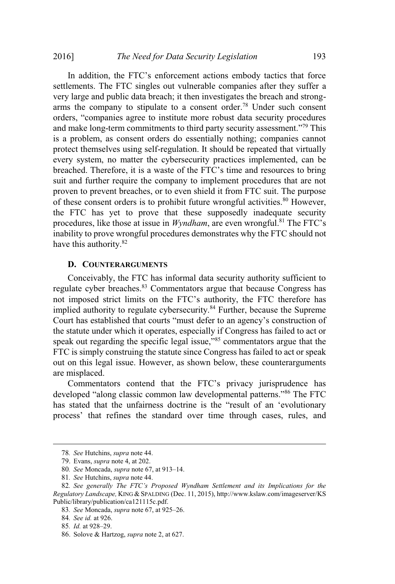In addition, the FTC's enforcement actions embody tactics that force settlements. The FTC singles out vulnerable companies after they suffer a very large and public data breach; it then investigates the breach and strongarms the company to stipulate to a consent order.<sup>78</sup> Under such consent orders, "companies agree to institute more robust data security procedures and make long-term commitments to third party security assessment."<sup>79</sup> This is a problem, as consent orders do essentially nothing; companies cannot protect themselves using self-regulation. It should be repeated that virtually every system, no matter the cybersecurity practices implemented, can be breached. Therefore, it is a waste of the FTC's time and resources to bring suit and further require the company to implement procedures that are not proven to prevent breaches, or to even shield it from FTC suit. The purpose of these consent orders is to prohibit future wrongful activities.<sup>80</sup> However, the FTC has yet to prove that these supposedly inadequate security procedures, like those at issue in *Wyndham*, are even wrongful.<sup>81</sup> The FTC's inability to prove wrongful procedures demonstrates why the FTC should not have this authority.<sup>82</sup>

# **D. COUNTERARGUMENTS**

Conceivably, the FTC has informal data security authority sufficient to regulate cyber breaches.<sup>83</sup> Commentators argue that because Congress has not imposed strict limits on the FTC's authority, the FTC therefore has implied authority to regulate cybersecurity.<sup>84</sup> Further, because the Supreme Court has established that courts "must defer to an agency's construction of the statute under which it operates, especially if Congress has failed to act or speak out regarding the specific legal issue,"<sup>85</sup> commentators argue that the FTC is simply construing the statute since Congress has failed to act or speak out on this legal issue. However, as shown below, these counterarguments are misplaced.

Commentators contend that the FTC's privacy jurisprudence has developed "along classic common law developmental patterns."<sup>86</sup> The FTC has stated that the unfairness doctrine is the "result of an 'evolutionary process' that refines the standard over time through cases, rules, and

<sup>78</sup>*. See* Hutchins, *supra* note 44.

<sup>79</sup>. Evans, *supra* note 4, at 202.

<sup>80</sup>*. See* Moncada, *supra* note 67, at 913–14.

<sup>81</sup>*. See* Hutchins, *supra* note 44.

<sup>82</sup>*. See generally The FTC's Proposed Wyndham Settlement and its Implications for the Regulatory Landscape,* KING & SPALDING (Dec. 11, 2015), http://www.kslaw.com/imageserver/KS Public/library/publication/ca121115c.pdf.

<sup>83</sup>*. See* Moncada, *supra* note 67, at 925–26.

<sup>84</sup>*. See id.* at 926.

<sup>85</sup>*. Id.* at 928–29.

<sup>86</sup>. Solove & Hartzog, *supra* note 2, at 627.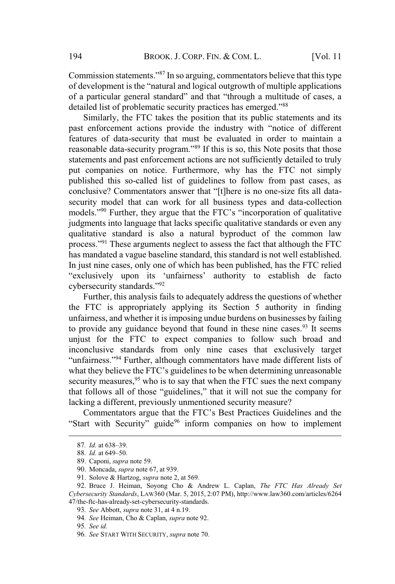Commission statements."<sup>87</sup> In so arguing, commentators believe that this type of development is the "natural and logical outgrowth of multiple applications of a particular general standard" and that "through a multitude of cases, a detailed list of problematic security practices has emerged."<sup>88</sup>

Similarly, the FTC takes the position that its public statements and its past enforcement actions provide the industry with "notice of different features of data-security that must be evaluated in order to maintain a reasonable data-security program."<sup>89</sup> If this is so, this Note posits that those statements and past enforcement actions are not sufficiently detailed to truly put companies on notice. Furthermore, why has the FTC not simply published this so-called list of guidelines to follow from past cases, as conclusive? Commentators answer that "[t]here is no one-size fits all datasecurity model that can work for all business types and data-collection models."<sup>90</sup> Further, they argue that the FTC's "incorporation of qualitative judgments into language that lacks specific qualitative standards or even any qualitative standard is also a natural byproduct of the common law process."<sup>91</sup> These arguments neglect to assess the fact that although the FTC has mandated a vague baseline standard, this standard is not well established. In just nine cases, only one of which has been published, has the FTC relied "exclusively upon its 'unfairness' authority to establish de facto cybersecurity standards."<sup>92</sup>

Further, this analysis fails to adequately address the questions of whether the FTC is appropriately applying its Section 5 authority in finding unfairness, and whether it is imposing undue burdens on businesses by failing to provide any guidance beyond that found in these nine cases.<sup>93</sup> It seems unjust for the FTC to expect companies to follow such broad and inconclusive standards from only nine cases that exclusively target "unfairness."<sup>94</sup> Further, although commentators have made different lists of what they believe the FTC's guidelines to be when determining unreasonable security measures,  $95$  who is to say that when the FTC sues the next company that follows all of those "guidelines," that it will not sue the company for lacking a different, previously unmentioned security measure?

Commentators argue that the FTC's Best Practices Guidelines and the "Start with Security" guide<sup>96</sup> inform companies on how to implement

<sup>87</sup>*. Id.* at 638–39.

<sup>88</sup>*. Id.* at 649–50.

<sup>89</sup>. Caponi, *supra* note 59.

<sup>90</sup>. Moncada, *supra* note 67, at 939.

<sup>91</sup>. Solove & Hartzog, *supra* note 2, at 569.

<sup>92</sup>. Bruce J. Heiman, Soyong Cho & Andrew L. Caplan, *The FTC Has Already Set Cybersecurity Standards*, LAW360 (Mar. 5, 2015, 2:07 PM), http://www.law360.com/articles/6264 47/the-ftc-has-already-set-cybersecurity-standards.

<sup>93</sup>*. See* Abbott, *supra* note 31, at 4 n.19.

<sup>94</sup>*. See* Heiman, Cho & Caplan, *supra* note 92.

<sup>95</sup>*. See id.*

<sup>96</sup>*. See* START WITH SECURITY, *supra* note 70.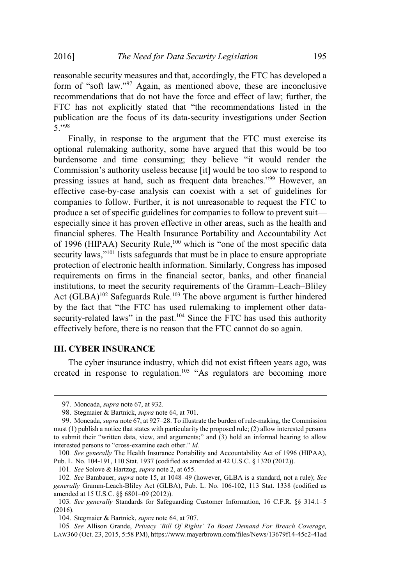reasonable security measures and that, accordingly, the FTC has developed a form of "soft law."<sup>97</sup> Again, as mentioned above, these are inconclusive recommendations that do not have the force and effect of law; further, the FTC has not explicitly stated that "the recommendations listed in the publication are the focus of its data-security investigations under Section 5."<sup>98</sup>

Finally, in response to the argument that the FTC must exercise its optional rulemaking authority, some have argued that this would be too burdensome and time consuming; they believe "it would render the Commission's authority useless because [it] would be too slow to respond to pressing issues at hand, such as frequent data breaches."<sup>99</sup> However, an effective case-by-case analysis can coexist with a set of guidelines for companies to follow. Further, it is not unreasonable to request the FTC to produce a set of specific guidelines for companies to follow to prevent suit especially since it has proven effective in other areas, such as the health and financial spheres. The Health Insurance Portability and Accountability Act of 1996 (HIPAA) Security Rule,<sup>100</sup> which is "one of the most specific data security laws,"<sup>101</sup> lists safeguards that must be in place to ensure appropriate protection of electronic health information. Similarly, Congress has imposed requirements on firms in the financial sector, banks, and other financial institutions, to meet the security requirements of the Gramm–Leach–Bliley Act  $(GLBA)^{102}$  Safeguards Rule.<sup>103</sup> The above argument is further hindered by the fact that "the FTC has used rulemaking to implement other datasecurity-related laws" in the past.<sup>104</sup> Since the FTC has used this authority effectively before, there is no reason that the FTC cannot do so again.

#### **III. CYBER INSURANCE**

The cyber insurance industry, which did not exist fifteen years ago, was created in response to regulation.<sup>105</sup> "As regulators are becoming more

101*. See* Solove & Hartzog, *supra* note 2, at 655.

<sup>97</sup>. Moncada, *supra* note 67, at 932.

<sup>98</sup>. Stegmaier & Bartnick, *supra* note 64, at 701.

<sup>99</sup>. Moncada, *supra* note 67, at 927–28. To illustrate the burden of rule-making, the Commission must (1) publish a notice that states with particularity the proposed rule; (2) allow interested persons to submit their "written data, view, and arguments;" and (3) hold an informal hearing to allow interested persons to "cross-examine each other." *Id.*

<sup>100</sup>*. See generally* The Health Insurance Portability and Accountability Act of 1996 (HIPAA), Pub. L. No. 104-191, 110 Stat. 1937 (codified as amended at 42 U.S.C. § 1320 (2012)).

<sup>102</sup>*. See* Bambauer, *supra* note 15, at 1048–49 (however, GLBA is a standard, not a rule); *See generally* Gramm-Leach-Bliley Act (GLBA), Pub. L. No. 106-102, 113 Stat. 1338 (codified as amended at 15 U.S.C. §§ 6801–09 (2012)).

<sup>103</sup>*. See generally* Standards for Safeguarding Customer Information, 16 C.F.R. §§ 314.1–5 (2016).

<sup>104</sup>. Stegmaier & Bartnick, *supra* note 64, at 707.

<sup>105</sup>*. See* Allison Grande, *Privacy 'Bill Of Rights' To Boost Demand For Breach Coverage,* LAW360 (Oct. 23, 2015, 5:58 PM), https://www.mayerbrown.com/files/News/13679f14-45c2-41ad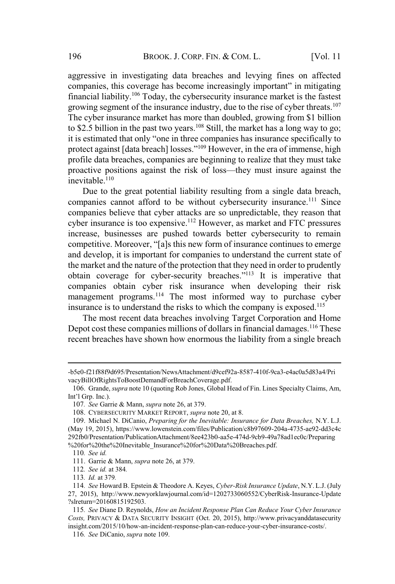aggressive in investigating data breaches and levying fines on affected companies, this coverage has become increasingly important" in mitigating financial liability.<sup>106</sup> Today, the cybersecurity insurance market is the fastest growing segment of the insurance industry, due to the rise of cyber threats.<sup>107</sup> The cyber insurance market has more than doubled, growing from \$1 billion to \$2.5 billion in the past two years.<sup>108</sup> Still, the market has a long way to go; it is estimated that only "one in three companies has insurance specifically to protect against [data breach] losses."<sup>109</sup> However, in the era of immense, high profile data breaches, companies are beginning to realize that they must take proactive positions against the risk of loss—they must insure against the inevitable.<sup>110</sup>

Due to the great potential liability resulting from a single data breach, companies cannot afford to be without cybersecurity insurance.<sup>111</sup> Since companies believe that cyber attacks are so unpredictable, they reason that cyber insurance is too expensive.<sup>112</sup> However, as market and FTC pressures increase, businesses are pushed towards better cybersecurity to remain competitive. Moreover, "[a]s this new form of insurance continues to emerge and develop, it is important for companies to understand the current state of the market and the nature of the protection that they need in order to prudently obtain coverage for cyber-security breaches."<sup>113</sup> It is imperative that companies obtain cyber risk insurance when developing their risk management programs.<sup>114</sup> The most informed way to purchase cyber insurance is to understand the risks to which the company is exposed.<sup>115</sup>

The most recent data breaches involving Target Corporation and Home Depot cost these companies millions of dollars in financial damages.<sup>116</sup> These recent breaches have shown how enormous the liability from a single breach

<sup>-</sup>b5e0-f21f88f9d695/Presentation/NewsAttachment/d9cef92a-8587-410f-9ca3-e4ac0a5d83a4/Pri vacyBillOfRightsToBoostDemandForBreachCoverage.pdf.

<sup>106</sup>. Grande, *supra* note 10 (quoting Rob Jones, Global Head of Fin. Lines Specialty Claims, Am, Int'l Grp. Inc.).

<sup>107</sup>*. See* Garrie & Mann, *supra* note 26, at 379.

<sup>108</sup>. CYBERSECURITY MARKET REPORT, *supra* note 20, at 8.

<sup>109</sup>. Michael N. DiCanio, *Preparing for the Inevitable: Insurance for Data Breaches,* N.Y. L.J. (May 19, 2015), https://www.lowenstein.com/files/Publication/c8b97609-204a-4735-ae92-dd3c4c 292fb0/Presentation/PublicationAttachment/8ee423b0-aa5e-474d-9cb9-49a78ad1ec0c/Preparing %20for%20the%20Inevitable\_Insurance%20for%20Data%20Breaches.pdf.

<sup>110</sup>*. See id.*

<sup>111</sup>. Garrie & Mann, *supra* note 26, at 379.

<sup>112</sup>*. See id.* at 384*.*

<sup>113</sup>*. Id.* at 379*.*

<sup>114</sup>*. See* Howard B. Epstein & Theodore A. Keyes, *Cyber-Risk Insurance Update*, N.Y. L.J. (July 27, 2015), http://www.newyorklawjournal.com/id=1202733060552/CyberRisk-Insurance-Update ?slreturn=20160815192503.

<sup>115</sup>*. See* Diane D. Reynolds, *How an Incident Response Plan Can Reduce Your Cyber Insurance Costs,* PRIVACY & DATA SECURITY INSIGHT (Oct. 20, 2015), http://www.privacyanddatasecurity insight.com/2015/10/how-an-incident-response-plan-can-reduce-your-cyber-insurance-costs/.

<sup>116</sup>*. See* DiCanio, *supra* note 109.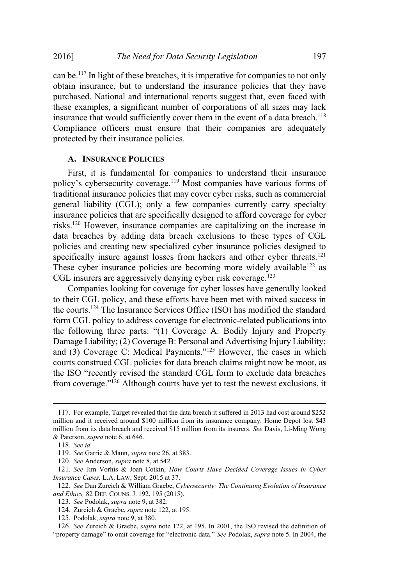can be.<sup>117</sup> In light of these breaches, it is imperative for companies to not only obtain insurance, but to understand the insurance policies that they have purchased. National and international reports suggest that, even faced with these examples, a significant number of corporations of all sizes may lack insurance that would sufficiently cover them in the event of a data breach.<sup>118</sup> Compliance officers must ensure that their companies are adequately protected by their insurance policies.

# **A. INSURANCE POLICIES**

First, it is fundamental for companies to understand their insurance policy's cybersecurity coverage.<sup>119</sup> Most companies have various forms of traditional insurance policies that may cover cyber risks, such as commercial general liability (CGL); only a few companies currently carry specialty insurance policies that are specifically designed to afford coverage for cyber risks.<sup>120</sup> However, insurance companies are capitalizing on the increase in data breaches by adding data breach exclusions to these types of CGL policies and creating new specialized cyber insurance policies designed to specifically insure against losses from hackers and other cyber threats.<sup>121</sup> These cyber insurance policies are becoming more widely available<sup>122</sup> as CGL insurers are aggressively denying cyber risk coverage.<sup>123</sup>

Companies looking for coverage for cyber losses have generally looked to their CGL policy, and these efforts have been met with mixed success in the courts.<sup>124</sup> The Insurance Services Office (ISO) has modified the standard form CGL policy to address coverage for electronic-related publications into the following three parts: "(1) Coverage A: Bodily Injury and Property Damage Liability; (2) Coverage B: Personal and Advertising Injury Liability; and (3) Coverage C: Medical Payments."<sup>125</sup> However, the cases in which courts construed CGL policies for data breach claims might now be moot, as the ISO "recently revised the standard CGL form to exclude data breaches from coverage."<sup>126</sup> Although courts have yet to test the newest exclusions, it

<sup>117</sup>. For example, Target revealed that the data breach it suffered in 2013 had cost around \$252 million and it received around \$100 million from its insurance company. Home Depot lost \$43 million from its data breach and received \$15 million from its insurers. *See* Davis, Li-Ming Wong & Paterson, *supra* note 6, at 646.

<sup>118</sup>*. See id.*

<sup>119</sup>*. See* Garrie & Mann, *supra* note 26, at 383.

<sup>120</sup>*. See* Anderson, *supra* note 8, at 542.

<sup>121</sup>*. See* Jim Vorhis & Joan Cotkin, *How Courts Have Decided Coverage Issues in Cyber Insurance Cases,* L.A. LAW, Sept. 2015 at 37.

<sup>122</sup>*. See* Dan Zureich & William Graebe, *Cybersecurity: The Continuing Evolution of Insurance and Ethics,* 82 DEF. COUNS. J. 192, 195 (2015).

<sup>123</sup>*. See* Podolak, *supra* note 9, at 382.

<sup>124</sup>. Zureich & Graebe, *supra* note 122, at 195.

<sup>125</sup>. Podolak, *supra* note 9, at 380.

<sup>126</sup>*. See* Zureich & Graebe, *supra* note 122, at 195. In 2001, the ISO revised the definition of "property damage" to omit coverage for "electronic data." *See* Podolak, *supra* note 5. In 2004, the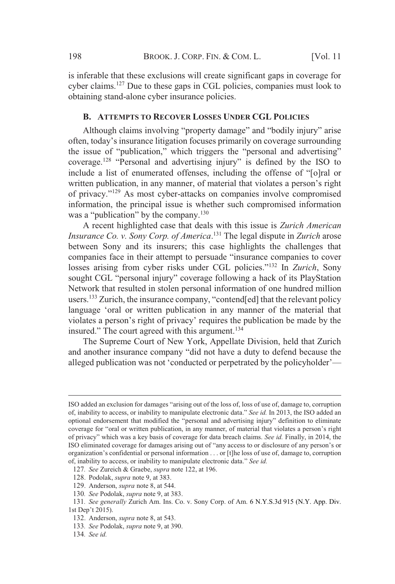is inferable that these exclusions will create significant gaps in coverage for cyber claims. <sup>127</sup> Due to these gaps in CGL policies, companies must look to obtaining stand-alone cyber insurance policies.

## **B. ATTEMPTS TO RECOVER LOSSES UNDER CGL POLICIES**

Although claims involving "property damage" and "bodily injury" arise often, today's insurance litigation focuses primarily on coverage surrounding the issue of "publication," which triggers the "personal and advertising" coverage.128 "Personal and advertising injury" is defined by the ISO to include a list of enumerated offenses, including the offense of "[o]ral or written publication, in any manner, of material that violates a person's right of privacy."<sup>129</sup> As most cyber-attacks on companies involve compromised information, the principal issue is whether such compromised information was a "publication" by the company.<sup>130</sup>

A recent highlighted case that deals with this issue is *Zurich American Insurance Co. v. Sony Corp. of America*. <sup>131</sup> The legal dispute in *Zurich* arose between Sony and its insurers; this case highlights the challenges that companies face in their attempt to persuade "insurance companies to cover losses arising from cyber risks under CGL policies."<sup>132</sup> In *Zurich*, Sony sought CGL "personal injury" coverage following a hack of its PlayStation Network that resulted in stolen personal information of one hundred million users. <sup>133</sup> Zurich, the insurance company, "contend[ed] that the relevant policy language 'oral or written publication in any manner of the material that violates a person's right of privacy' requires the publication be made by the insured." The court agreed with this argument.<sup>134</sup>

The Supreme Court of New York, Appellate Division, held that Zurich and another insurance company "did not have a duty to defend because the alleged publication was not 'conducted or perpetrated by the policyholder'—

ISO added an exclusion for damages "arising out of the loss of, loss of use of, damage to, corruption of, inability to access, or inability to manipulate electronic data." *See id.* In 2013, the ISO added an optional endorsement that modified the "personal and advertising injury" definition to eliminate coverage for "oral or written publication, in any manner, of material that violates a person's right of privacy" which was a key basis of coverage for data breach claims. *See id.* Finally, in 2014, the ISO eliminated coverage for damages arising out of "any access to or disclosure of any person's or organization's confidential or personal information . . . or [t]he loss of use of, damage to, corruption of, inability to access, or inability to manipulate electronic data." *See id.*

<sup>127</sup>*. See* Zureich & Graebe, *supra* note 122, at 196.

<sup>128.</sup> Podolak, *supra* note 9, at 383.

<sup>129.</sup> Anderson, *supra* note 8, at 544.

<sup>130</sup>*. See* Podolak, *supra* note 9, at 383.

<sup>131</sup>*. See generally* Zurich Am. Ins. Co. v. Sony Corp. of Am. 6 N.Y.S.3d 915 (N.Y. App. Div. 1st Dep't 2015).

<sup>132.</sup> Anderson, *supra* note 8, at 543.

<sup>133</sup>*. See* Podolak, *supra* note 9, at 390.

<sup>134</sup>*. See id.*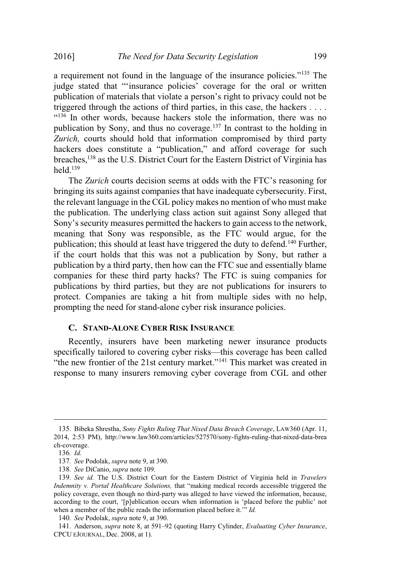a requirement not found in the language of the insurance policies."<sup>135</sup> The judge stated that "'insurance policies' coverage for the oral or written publication of materials that violate a person's right to privacy could not be triggered through the actions of third parties, in this case, the hackers . . . . "<sup>136</sup> In other words, because hackers stole the information, there was no publication by Sony, and thus no coverage.<sup>137</sup> In contrast to the holding in *Zurich,* courts should hold that information compromised by third party hackers does constitute a "publication," and afford coverage for such breaches,<sup>138</sup> as the U.S. District Court for the Eastern District of Virginia has held.<sup>139</sup>

The *Zurich* courts decision seems at odds with the FTC's reasoning for bringing its suits against companies that have inadequate cybersecurity. First, the relevant language in the CGL policy makes no mention of who must make the publication. The underlying class action suit against Sony alleged that Sony's security measures permitted the hackers to gain access to the network, meaning that Sony was responsible, as the FTC would argue, for the publication; this should at least have triggered the duty to defend.<sup>140</sup> Further, if the court holds that this was not a publication by Sony, but rather a publication by a third party, then how can the FTC sue and essentially blame companies for these third party hacks? The FTC is suing companies for publications by third parties, but they are not publications for insurers to protect. Companies are taking a hit from multiple sides with no help, prompting the need for stand-alone cyber risk insurance policies.

#### **C. STAND-ALONE CYBER RISK INSURANCE**

Recently, insurers have been marketing newer insurance products specifically tailored to covering cyber risks—this coverage has been called "the new frontier of the 21st century market."<sup>141</sup> This market was created in response to many insurers removing cyber coverage from CGL and other

<sup>135</sup>. Bibeka Shrestha, *Sony Fights Ruling That Nixed Data Breach Coverage*, LAW360 (Apr. 11, 2014, 2:53 PM), http://www.law360.com/articles/527570/sony-fights-ruling-that-nixed-data-brea ch-coverage.

<sup>136</sup>*. Id.*

<sup>137</sup>*. See* Podolak, *supra* note 9, at 390.

<sup>138</sup>*. See* DiCanio, *supra* note 109.

<sup>139</sup>*. See id.* The U.S. District Court for the Eastern District of Virginia held in *Travelers Indemnity v. Portal Healthcare Solutions,* that "making medical records accessible triggered the policy coverage, even though no third-party was alleged to have viewed the information, because, according to the court, '[p]ublication occurs when information is 'placed before the public' not when a member of the public reads the information placed before it.'" *Id.*

<sup>140</sup>*. See* Podolak, *supra* note 9, at 390.

<sup>141</sup>. Anderson, *supra* note 8, at 591–92 (quoting Harry Cylinder, *Evaluating Cyber Insurance*, CPCU EJOURNAL, Dec. 2008, at 1).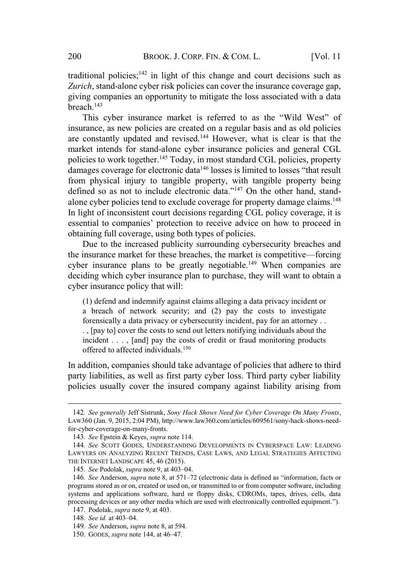traditional policies; $142$  in light of this change and court decisions such as *Zurich*, stand-alone cyber risk policies can cover the insurance coverage gap, giving companies an opportunity to mitigate the loss associated with a data breach.<sup>143</sup>

This cyber insurance market is referred to as the "Wild West" of insurance, as new policies are created on a regular basis and as old policies are constantly updated and revised.<sup>144</sup> However, what is clear is that the market intends for stand-alone cyber insurance policies and general CGL policies to work together.<sup>145</sup> Today, in most standard CGL policies, property damages coverage for electronic data<sup>146</sup> losses is limited to losses "that result from physical injury to tangible property, with tangible property being defined so as not to include electronic data."<sup>147</sup> On the other hand, standalone cyber policies tend to exclude coverage for property damage claims.<sup>148</sup> In light of inconsistent court decisions regarding CGL policy coverage, it is essential to companies' protection to receive advice on how to proceed in obtaining full coverage, using both types of policies.

Due to the increased publicity surrounding cybersecurity breaches and the insurance market for these breaches, the market is competitive—forcing cyber insurance plans to be greatly negotiable.<sup>149</sup> When companies are deciding which cyber insurance plan to purchase, they will want to obtain a cyber insurance policy that will:

(1) defend and indemnify against claims alleging a data privacy incident or a breach of network security; and (2) pay the costs to investigate forensically a data privacy or cybersecurity incident, pay for an attorney . . . , [pay to] cover the costs to send out letters notifying individuals about the incident . . . , [and] pay the costs of credit or fraud monitoring products offered to affected individuals.<sup>150</sup>

In addition, companies should take advantage of policies that adhere to third party liabilities, as well as first party cyber loss. Third party cyber liability policies usually cover the insured company against liability arising from

<sup>142</sup>*. See generally* Jeff Sistrunk, *Sony Hack Shows Need for Cyber Coverage On Many Fronts*, LAW360 (Jan. 9, 2015, 2:04 PM), http://www.law360.com/articles/609561/sony-hack-shows-needfor-cyber-coverage-on-many-fronts.

<sup>143</sup>*. See* Epstein & Keyes, *supra* note 114.

<sup>144</sup>*. See* SCOTT GODES, UNDERSTANDING DEVELOPMENTS IN CYBERSPACE LAW: LEADING LAWYERS ON ANALYZING RECENT TRENDS, CASE LAWS, AND LEGAL STRATEGIES AFFECTING THE INTERNET LANDSCAPE 45, 46 (2015).

<sup>145</sup>*. See* Podolak, *supra* note 9, at 403–04.

<sup>146</sup>*. See* Anderson, *supra* note 8, at 571–72 (electronic data is defined as "information, facts or programs stored as or on, created or used on, or transmitted to or from computer software, including systems and applications software, hard or floppy disks, CDROMs, tapes, drives, cells, data processing devices or any other media which are used with electronically controlled equipment.").

<sup>147</sup>. Podolak, *supra* note 9, at 403.

<sup>148</sup>*. See id.* at 403–04.

<sup>149</sup>*. See* Anderson, *supra* note 8, at 594.

<sup>150</sup>. GODES, *supra* note 144, at 46–47.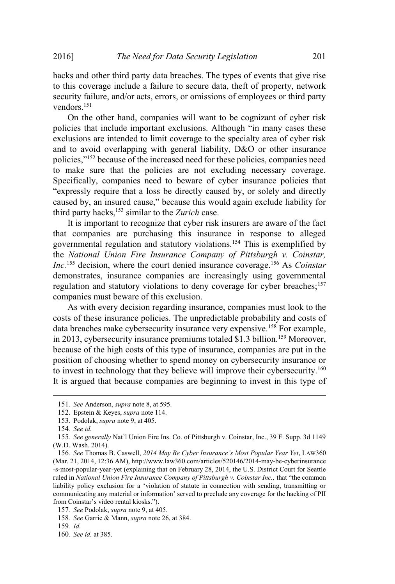hacks and other third party data breaches. The types of events that give rise to this coverage include a failure to secure data, theft of property, network security failure, and/or acts, errors, or omissions of employees or third party vendors.<sup>151</sup>

On the other hand, companies will want to be cognizant of cyber risk policies that include important exclusions. Although "in many cases these exclusions are intended to limit coverage to the specialty area of cyber risk and to avoid overlapping with general liability, D&O or other insurance policies,"<sup>152</sup> because of the increased need for these policies, companies need to make sure that the policies are not excluding necessary coverage. Specifically, companies need to beware of cyber insurance policies that "expressly require that a loss be directly caused by, or solely and directly caused by, an insured cause," because this would again exclude liability for third party hacks,<sup>153</sup> similar to the *Zurich* case.

It is important to recognize that cyber risk insurers are aware of the fact that companies are purchasing this insurance in response to alleged governmental regulation and statutory violations.<sup>154</sup> This is exemplified by the *National Union Fire Insurance Company of Pittsburgh v. Coinstar, Inc.*<sup>155</sup> decision, where the court denied insurance coverage.<sup>156</sup> As *Coinstar* demonstrates, insurance companies are increasingly using governmental regulation and statutory violations to deny coverage for cyber breaches;<sup>157</sup> companies must beware of this exclusion.

As with every decision regarding insurance, companies must look to the costs of these insurance policies. The unpredictable probability and costs of data breaches make cybersecurity insurance very expensive.<sup>158</sup> For example, in 2013, cybersecurity insurance premiums totaled \$1.3 billion.<sup>159</sup> Moreover, because of the high costs of this type of insurance, companies are put in the position of choosing whether to spend money on cybersecurity insurance or to invest in technology that they believe will improve their cybersecurity.<sup>160</sup> It is argued that because companies are beginning to invest in this type of

<sup>151</sup>*. See* Anderson, *supra* note 8, at 595.

<sup>152</sup>. Epstein & Keyes, *supra* note 114.

<sup>153</sup>. Podolak, *supra* note 9, at 405.

<sup>154</sup>*. See id.*

<sup>155</sup>*. See generally* Nat'l Union Fire Ins. Co. of Pittsburgh v. Coinstar, Inc., 39 F. Supp. 3d 1149 (W.D. Wash. 2014).

<sup>156</sup>*. See* Thomas B. Caswell, *2014 May Be Cyber Insurance's Most Popular Year Yet*, LAW360 (Mar. 21, 2014, 12:36 AM), http://www.law360.com/articles/520146/2014-may-be-cyberinsurance -s-most-popular-year-yet (explaining that on February 28, 2014, the U.S. District Court for Seattle ruled in *National Union Fire Insurance Company of Pittsburgh v. Coinstar Inc.,* that "the common liability policy exclusion for a 'violation of statute in connection with sending, transmitting or communicating any material or information' served to preclude any coverage for the hacking of PII from Coinstar's video rental kiosks.").

<sup>157</sup>*. See* Podolak, *supra* note 9, at 405.

<sup>158</sup>*. See* Garrie & Mann, *supra* note 26, at 384.

<sup>159</sup>*. Id.*

<sup>160</sup>*. See id.* at 385.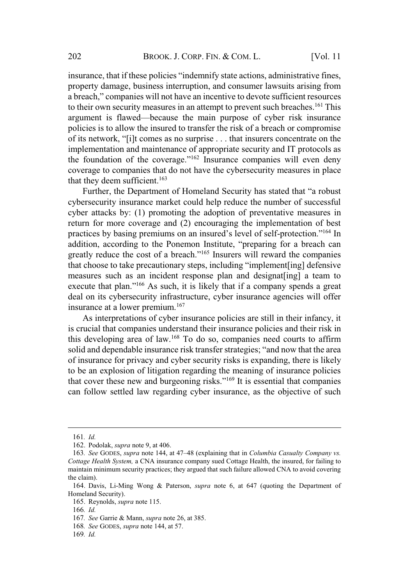insurance, that if these policies "indemnify state actions, administrative fines, property damage, business interruption, and consumer lawsuits arising from a breach," companies will not have an incentive to devote sufficient resources to their own security measures in an attempt to prevent such breaches.<sup>161</sup> This argument is flawed—because the main purpose of cyber risk insurance policies is to allow the insured to transfer the risk of a breach or compromise of its network, "[i]t comes as no surprise . . . that insurers concentrate on the implementation and maintenance of appropriate security and IT protocols as the foundation of the coverage."<sup>162</sup> Insurance companies will even deny coverage to companies that do not have the cybersecurity measures in place that they deem sufficient.<sup>163</sup>

Further, the Department of Homeland Security has stated that "a robust cybersecurity insurance market could help reduce the number of successful cyber attacks by: (1) promoting the adoption of preventative measures in return for more coverage and (2) encouraging the implementation of best practices by basing premiums on an insured's level of self-protection."<sup>164</sup> In addition, according to the Ponemon Institute, "preparing for a breach can greatly reduce the cost of a breach."<sup>165</sup> Insurers will reward the companies that choose to take precautionary steps, including "implement[ing] defensive measures such as an incident response plan and designat[ing] a team to execute that plan."<sup>166</sup> As such, it is likely that if a company spends a great deal on its cybersecurity infrastructure, cyber insurance agencies will offer insurance at a lower premium.<sup>167</sup>

As interpretations of cyber insurance policies are still in their infancy, it is crucial that companies understand their insurance policies and their risk in this developing area of law.<sup>168</sup> To do so, companies need courts to affirm solid and dependable insurance risk transfer strategies; "and now that the area of insurance for privacy and cyber security risks is expanding, there is likely to be an explosion of litigation regarding the meaning of insurance policies that cover these new and burgeoning risks."<sup>169</sup> It is essential that companies can follow settled law regarding cyber insurance, as the objective of such

- 168*. See* GODES, *supra* note 144, at 57.
- 169*. Id.*

<sup>161</sup>*. Id.*

<sup>162</sup>. Podolak, *supra* note 9, at 406.

<sup>163</sup>*. See* GODES, *supra* note 144, at 47–48 (explaining that in *Columbia Casualty Company vs. Cottage Health System,* a CNA insurance company sued Cottage Health, the insured, for failing to maintain minimum security practices; they argued that such failure allowed CNA to avoid covering the claim).

<sup>164</sup>. Davis, Li-Ming Wong & Paterson, *supra* note 6, at 647 (quoting the Department of Homeland Security).

<sup>165</sup>. Reynolds, *supra* note 115.

<sup>166</sup>*. Id.*

<sup>167</sup>*. See* Garrie & Mann, *supra* note 26, at 385.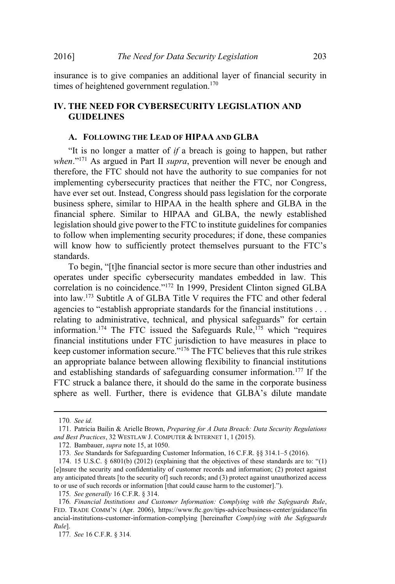insurance is to give companies an additional layer of financial security in times of heightened government regulation.<sup>170</sup>

# **IV. THE NEED FOR CYBERSECURITY LEGISLATION AND GUIDELINES**

## **A. FOLLOWING THE LEAD OF HIPAA AND GLBA**

"It is no longer a matter of *if* a breach is going to happen, but rather *when*."<sup>171</sup> As argued in Part II *supra*, prevention will never be enough and therefore, the FTC should not have the authority to sue companies for not implementing cybersecurity practices that neither the FTC, nor Congress, have ever set out. Instead, Congress should pass legislation for the corporate business sphere, similar to HIPAA in the health sphere and GLBA in the financial sphere. Similar to HIPAA and GLBA, the newly established legislation should give power to the FTC to institute guidelines for companies to follow when implementing security procedures; if done, these companies will know how to sufficiently protect themselves pursuant to the FTC's standards.

To begin, "[t]he financial sector is more secure than other industries and operates under specific cybersecurity mandates embedded in law. This correlation is no coincidence."<sup>172</sup> In 1999, President Clinton signed GLBA into law.<sup>173</sup> Subtitle A of GLBA Title V requires the FTC and other federal agencies to "establish appropriate standards for the financial institutions . . . relating to administrative, technical, and physical safeguards" for certain information.<sup>174</sup> The FTC issued the Safeguards Rule,<sup>175</sup> which "requires" financial institutions under FTC jurisdiction to have measures in place to keep customer information secure."<sup>176</sup> The FTC believes that this rule strikes an appropriate balance between allowing flexibility to financial institutions and establishing standards of safeguarding consumer information.<sup>177</sup> If the FTC struck a balance there, it should do the same in the corporate business sphere as well. Further, there is evidence that GLBA's dilute mandate

<sup>170</sup>*. See id.*

<sup>171</sup>. Patricia Bailin & Arielle Brown, *Preparing for A Data Breach: Data Security Regulations and Best Practices*, 32 WESTLAW J. COMPUTER & INTERNET 1, 1 (2015).

<sup>172</sup>. Bambauer, *supra* note 15, at 1050.

<sup>173</sup>*. See* Standards for Safeguarding Customer Information, 16 C.F.R. §§ 314.1–5 (2016).

<sup>174. 15</sup> U.S.C.  $\S$  6801(b) (2012) (explaining that the objectives of these standards are to: "(1) [e]nsure the security and confidentiality of customer records and information; (2) protect against any anticipated threats [to the security of] such records; and (3) protect against unauthorized access to or use of such records or information [that could cause harm to the customer].").

<sup>175</sup>*. See generally* 16 C.F.R. § 314.

<sup>176</sup>*. Financial Institutions and Customer Information: Complying with the Safeguards Rule*, FED. TRADE COMM'<sup>N</sup> (Apr. 2006), https://www.ftc.gov/tips-advice/business-center/guidance/fin ancial-institutions-customer-information-complying [hereinafter *Complying with the Safeguards Rule*].

<sup>177</sup>*. See* 16 C.F.R. § 314.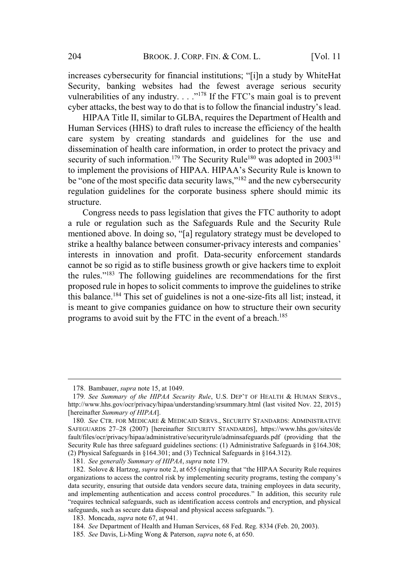increases cybersecurity for financial institutions; "[i]n a study by WhiteHat Security, banking websites had the fewest average serious security vulnerabilities of any industry.  $\ldots$ <sup>178</sup> If the FTC's main goal is to prevent cyber attacks, the best way to do that is to follow the financial industry's lead.

HIPAA Title II, similar to GLBA, requires the Department of Health and Human Services (HHS) to draft rules to increase the efficiency of the health care system by creating standards and guidelines for the use and dissemination of health care information, in order to protect the privacy and security of such information.<sup>179</sup> The Security Rule<sup>180</sup> was adopted in 2003<sup>181</sup> to implement the provisions of HIPAA. HIPAA's Security Rule is known to be "one of the most specific data security laws,"<sup>182</sup> and the new cybersecurity regulation guidelines for the corporate business sphere should mimic its structure.

Congress needs to pass legislation that gives the FTC authority to adopt a rule or regulation such as the Safeguards Rule and the Security Rule mentioned above. In doing so, "[a] regulatory strategy must be developed to strike a healthy balance between consumer-privacy interests and companies' interests in innovation and profit. Data-security enforcement standards cannot be so rigid as to stifle business growth or give hackers time to exploit the rules."<sup>183</sup> The following guidelines are recommendations for the first proposed rule in hopes to solicit comments to improve the guidelines to strike this balance.<sup>184</sup> This set of guidelines is not a one-size-fits all list; instead, it is meant to give companies guidance on how to structure their own security programs to avoid suit by the FTC in the event of a breach.<sup>185</sup>

<sup>178</sup>. Bambauer, *supra* note 15, at 1049.

<sup>179</sup>*. See Summary of the HIPAA Security Rule*, U.S. DEP'<sup>T</sup> OF HEALTH & HUMAN SERVS., http://www.hhs.gov/ocr/privacy/hipaa/understanding/srsummary.html (last visited Nov. 22, 2015) [hereinafter *Summary of HIPAA*].

<sup>180</sup>*. See* CTR. FOR MEDICARE & MEDICAID SERVS., SECURITY STANDARDS: ADMINISTRATIVE SAFEGUARDS 27–28 (2007) [hereinafter SECURITY STANDARDS], https://www.hhs.gov/sites/de fault/files/ocr/privacy/hipaa/administrative/securityrule/adminsafeguards.pdf (providing that the Security Rule has three safeguard guidelines sections: (1) Administrative Safeguards in §164.308; (2) Physical Safeguards in §164.301; and (3) Technical Safeguards in §164.312).

<sup>181</sup>*. See generally Summary of HIPAA*, *supra* note 179.

<sup>182</sup>. Solove & Hartzog, *supra* note 2, at 655 (explaining that "the HIPAA Security Rule requires organizations to access the control risk by implementing security programs, testing the company's data security, ensuring that outside data vendors secure data, training employees in data security, and implementing authentication and access control procedures." In addition, this security rule "requires technical safeguards, such as identification access controls and encryption, and physical safeguards, such as secure data disposal and physical access safeguards.").

<sup>183</sup>. Moncada, *supra* note 67, at 941.

<sup>184</sup>*. See* Department of Health and Human Services, 68 Fed. Reg. 8334 (Feb. 20, 2003).

<sup>185</sup>*. See* Davis, Li-Ming Wong & Paterson, *supra* note 6, at 650.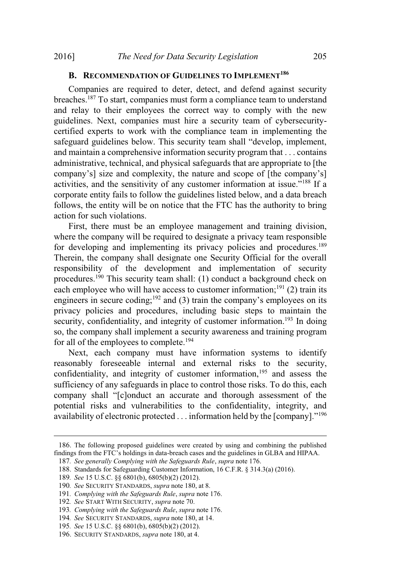# **B. RECOMMENDATION OF GUIDELINES TO IMPLEMENT<sup>186</sup>**

Companies are required to deter, detect, and defend against security breaches.<sup>187</sup> To start, companies must form a compliance team to understand and relay to their employees the correct way to comply with the new guidelines. Next, companies must hire a security team of cybersecuritycertified experts to work with the compliance team in implementing the safeguard guidelines below. This security team shall "develop, implement, and maintain a comprehensive information security program that . . . contains administrative, technical, and physical safeguards that are appropriate to [the company's] size and complexity, the nature and scope of [the company's] activities, and the sensitivity of any customer information at issue."<sup>188</sup> If a corporate entity fails to follow the guidelines listed below, and a data breach follows, the entity will be on notice that the FTC has the authority to bring action for such violations.

First, there must be an employee management and training division, where the company will be required to designate a privacy team responsible for developing and implementing its privacy policies and procedures.<sup>189</sup> Therein, the company shall designate one Security Official for the overall responsibility of the development and implementation of security procedures.<sup>190</sup> This security team shall: (1) conduct a background check on each employee who will have access to customer information;<sup>191</sup> (2) train its engineers in secure coding;<sup>192</sup> and (3) train the company's employees on its privacy policies and procedures, including basic steps to maintain the security, confidentiality, and integrity of customer information.<sup>193</sup> In doing so, the company shall implement a security awareness and training program for all of the employees to complete.<sup>194</sup>

Next, each company must have information systems to identify reasonably foreseeable internal and external risks to the security, confidentiality, and integrity of customer information, $195$  and assess the sufficiency of any safeguards in place to control those risks. To do this, each company shall "[c]onduct an accurate and thorough assessment of the potential risks and vulnerabilities to the confidentiality, integrity, and availability of electronic protected  $\ldots$  information held by the [company]."<sup>196</sup>

<sup>186</sup>. The following proposed guidelines were created by using and combining the published findings from the FTC's holdings in data-breach cases and the guidelines in GLBA and HIPAA.

<sup>187</sup>*. See generally Complying with the Safeguards Rule*, *supra* note 176.

<sup>188</sup>. Standards for Safeguarding Customer Information, 16 C.F.R. § 314.3(a) (2016).

<sup>189</sup>*. See* 15 U.S.C. §§ 6801(b), 6805(b)(2) (2012).

<sup>190</sup>*. See* SECURITY STANDARDS, *supra* note 180, at 8.

<sup>191</sup>*. Complying with the Safeguards Rule*, *supra* note 176.

<sup>192</sup>*. See* START WITH SECURITY, *supra* note 70.

<sup>193</sup>*. Complying with the Safeguards Rule*, *supra* note 176.

<sup>194</sup>*. See* SECURITY STANDARDS, *supra* note 180, at 14.

<sup>195</sup>*. See* 15 U.S.C. §§ 6801(b), 6805(b)(2) (2012).

<sup>196</sup>. SECURITY STANDARDS, *supra* note 180, at 4.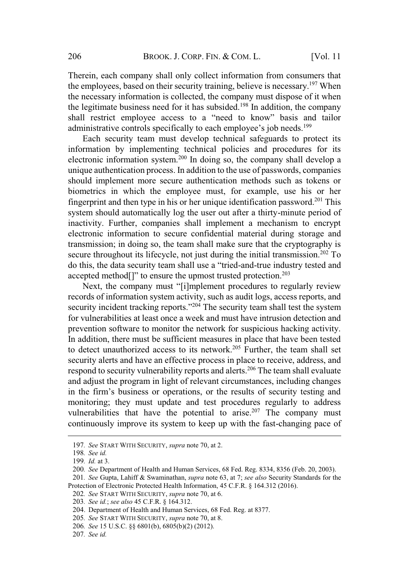Therein, each company shall only collect information from consumers that the employees, based on their security training, believe is necessary.<sup>197</sup> When the necessary information is collected, the company must dispose of it when the legitimate business need for it has subsided.<sup>198</sup> In addition, the company shall restrict employee access to a "need to know" basis and tailor administrative controls specifically to each employee's job needs.<sup>199</sup>

Each security team must develop technical safeguards to protect its information by implementing technical policies and procedures for its electronic information system.<sup>200</sup> In doing so, the company shall develop a unique authentication process. In addition to the use of passwords, companies should implement more secure authentication methods such as tokens or biometrics in which the employee must, for example, use his or her fingerprint and then type in his or her unique identification password.<sup>201</sup> This system should automatically log the user out after a thirty-minute period of inactivity. Further, companies shall implement a mechanism to encrypt electronic information to secure confidential material during storage and transmission; in doing so, the team shall make sure that the cryptography is secure throughout its lifecycle, not just during the initial transmission.<sup>202</sup> To do this, the data security team shall use a "tried-and-true industry tested and accepted method<sup>[]"</sup> to ensure the upmost trusted protection.<sup>203</sup>

Next, the company must "[i]mplement procedures to regularly review records of information system activity, such as audit logs, access reports, and security incident tracking reports."<sup>204</sup> The security team shall test the system for vulnerabilities at least once a week and must have intrusion detection and prevention software to monitor the network for suspicious hacking activity. In addition, there must be sufficient measures in place that have been tested to detect unauthorized access to its network.<sup>205</sup> Further, the team shall set security alerts and have an effective process in place to receive, address, and respond to security vulnerability reports and alerts.<sup>206</sup> The team shall evaluate and adjust the program in light of relevant circumstances, including changes in the firm's business or operations, or the results of security testing and monitoring; they must update and test procedures regularly to address vulnerabilities that have the potential to arise.<sup>207</sup> The company must continuously improve its system to keep up with the fast-changing pace of

<sup>197</sup>*. See* START WITH SECURITY, *supra* note 70, at 2.

<sup>198</sup>*. See id.*

<sup>199</sup>*. Id.* at 3.

<sup>200</sup>*. See* Department of Health and Human Services, 68 Fed. Reg. 8334, 8356 (Feb. 20, 2003).

<sup>201</sup>*. See* Gupta, Lahiff & Swaminathan, *supra* note 63, at 7; *see also* Security Standards for the Protection of Electronic Protected Health Information, 45 C.F.R. § 164.312 (2016).

<sup>202</sup>*. See* START WITH SECURITY, *supra* note 70, at 6.

<sup>203</sup>*. See id.*; *see also* 45 C.F.R. § 164.312.

<sup>204</sup>. Department of Health and Human Services, 68 Fed. Reg. at 8377.

<sup>205</sup>*. See* START WITH SECURITY, *supra* note 70, at 8.

<sup>206</sup>*. See* 15 U.S.C. §§ 6801(b), 6805(b)(2) (2012).

<sup>207</sup>*. See id.*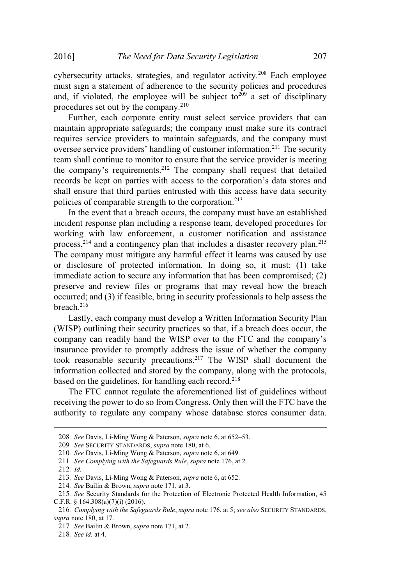cybersecurity attacks, strategies, and regulator activity.<sup>208</sup> Each employee must sign a statement of adherence to the security policies and procedures and, if violated, the employee will be subject to<sup>209</sup> a set of disciplinary procedures set out by the company.<sup>210</sup>

Further, each corporate entity must select service providers that can maintain appropriate safeguards; the company must make sure its contract requires service providers to maintain safeguards, and the company must oversee service providers' handling of customer information.<sup>211</sup> The security team shall continue to monitor to ensure that the service provider is meeting the company's requirements.<sup>212</sup> The company shall request that detailed records be kept on parties with access to the corporation's data stores and shall ensure that third parties entrusted with this access have data security policies of comparable strength to the corporation.<sup>213</sup>

In the event that a breach occurs, the company must have an established incident response plan including a response team, developed procedures for working with law enforcement, a customer notification and assistance process, $2^{14}$  and a contingency plan that includes a disaster recovery plan.<sup>215</sup> The company must mitigate any harmful effect it learns was caused by use or disclosure of protected information. In doing so, it must: (1) take immediate action to secure any information that has been compromised; (2) preserve and review files or programs that may reveal how the breach occurred; and (3) if feasible, bring in security professionals to help assess the breach.<sup>216</sup>

Lastly, each company must develop a Written Information Security Plan (WISP) outlining their security practices so that, if a breach does occur, the company can readily hand the WISP over to the FTC and the company's insurance provider to promptly address the issue of whether the company took reasonable security precautions.<sup>217</sup> The WISP shall document the information collected and stored by the company, along with the protocols, based on the guidelines, for handling each record.<sup>218</sup>

The FTC cannot regulate the aforementioned list of guidelines without receiving the power to do so from Congress. Only then will the FTC have the authority to regulate any company whose database stores consumer data.

<sup>208</sup>*. See* Davis, Li-Ming Wong & Paterson, *supra* note 6, at 652–53.

<sup>209</sup>*. See* SECURITY STANDARDS, *supra* note 180, at 6.

<sup>210</sup>*. See* Davis, Li-Ming Wong & Paterson, *supra* note 6, at 649.

<sup>211</sup>*. See Complying with the Safeguards Rule*, *supra* note 176, at 2.

<sup>212</sup>*. Id.*

<sup>213</sup>*. See* Davis, Li-Ming Wong & Paterson, *supra* note 6, at 652.

<sup>214</sup>*. See* Bailin & Brown, *supra* note 171, at 3.

<sup>215</sup>*. See* Security Standards for the Protection of Electronic Protected Health Information, 45 C.F.R. § 164.308(a)(7)(i) (2016).

<sup>216</sup>*. Complying with the Safeguards Rule*, *supra* note 176, at 5; *see also* SECURITY STANDARDS, *supra* note 180, at 17.

<sup>217</sup>*. See* Bailin & Brown, *supra* note 171, at 2.

<sup>218</sup>*. See id.* at 4.